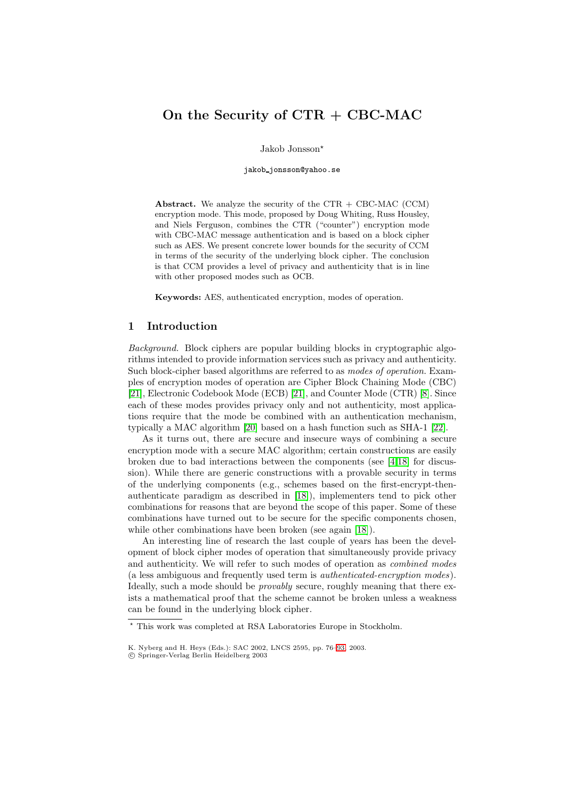# **On the Security of CTR + CBC-MAC**

Jakob Jonsson

jakob jonsson@yahoo.se

**Abstract.** We analyze the security of the CTR + CBC-MAC (CCM) encryption mode. This mode, proposed by Doug Whiting, Russ Housley, and Niels Ferguson, combines the CTR ("counter") encryption mode with CBC-MAC message authentication and is based on a block cipher such as AES. We present concrete lower bounds for the security of CCM in terms of the security of the underlying block cipher. The conclusion is that CCM provides a level of privacy and authenticity that is in line with other proposed modes such as OCB.

**Keywords:** AES, authenticated encryption, modes of operation.

## **1 Introduction**

*Background.* Block ciphers are popular building blocks in cryptographic algorithms intended to provide information services such as privacy and authenticity. Such block-cipher based algorithms are referred to as *modes of operation*. Examples of encryption modes of operation are Cipher Block Chaining Mode (CBC) [\[21\]](#page-12-0), Electronic Codebook Mode (ECB) [\[21\]](#page-12-0), and Counter Mode (CTR) [\[8\]](#page-12-1). Since each of these modes provides privacy only and not authenticity, most applications require that the mode be combined with an authentication mechanism, typically a MAC algorithm [\[20\]](#page-12-2) based on a hash function such as SHA-1 [\[22\]](#page-12-3).

As it turns out, there are secure and insecure ways of combining a secure encryption mode with a secure MAC algorithm; certain constructions are easily broken due to bad interactions between the components (see [\[4,](#page-11-0)[18\]](#page-12-4) for discussion). While there are generic constructions with a provable security in terms of the underlying components (e.g., schemes based on the first-encrypt-thenauthenticate paradigm as described in [\[18\]](#page-12-4)), implementers tend to pick other combinations for reasons that are beyond the scope of this paper. Some of these combinations have turned out to be secure for the specific components chosen, while other combinations have been broken (see again [\[18\]](#page-12-4)).

An interesting line of research the last couple of years has been the development of block cipher modes of operation that simultaneously provide privacy and authenticity. We will refer to such modes of operation as *combined modes* (a less ambiguous and frequently used term is *authenticated-encryption modes*). Ideally, such a mode should be *provably* secure, roughly meaning that there exists a mathematical proof that the scheme cannot be broken unless a weakness can be found in the underlying block cipher.

This work was completed at RSA Laboratories Europe in Stockholm.

K. Nyberg and H. Heys (Eds.): SAC 2002, LNCS 2595, pp. 76[–93,](#page-16-0) 2003.

c Springer-Verlag Berlin Heidelberg 2003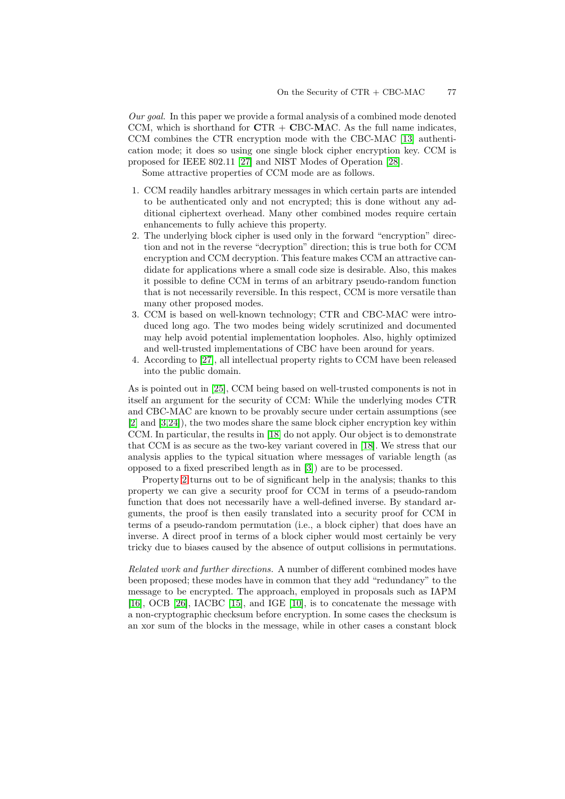*Our goal.* In this paper we provide a formal analysis of a combined mode denoted CCM, which is shorthand for **C**TR + **C**BC-**M**AC. As the full name indicates, CCM combines the CTR encryption mode with the CBC-MAC [\[13\]](#page-12-5) authentication mode; it does so using one single block cipher encryption key. CCM is proposed for IEEE 802.11 [\[27\]](#page-12-6) and NIST Modes of Operation [\[28\]](#page-13-0).

Some attractive properties of CCM mode are as follows.

- <span id="page-1-1"></span>1. CCM readily handles arbitrary messages in which certain parts are intended to be authenticated only and not encrypted; this is done without any additional ciphertext overhead. Many other combined modes require certain enhancements to fully achieve this property.
- <span id="page-1-0"></span>2. The underlying block cipher is used only in the forward "encryption" direction and not in the reverse "decryption" direction; this is true both for CCM encryption and CCM decryption. This feature makes CCM an attractive candidate for applications where a small code size is desirable. Also, this makes it possible to define CCM in terms of an arbitrary pseudo-random function that is not necessarily reversible. In this respect, CCM is more versatile than many other proposed modes.
- 3. CCM is based on well-known technology; CTR and CBC-MAC were introduced long ago. The two modes being widely scrutinized and documented may help avoid potential implementation loopholes. Also, highly optimized and well-trusted implementations of CBC have been around for years.
- 4. According to [\[27\]](#page-12-6), all intellectual property rights to CCM have been released into the public domain.

As is pointed out in [\[25\]](#page-12-7), CCM being based on well-trusted components is not in itself an argument for the security of CCM: While the underlying modes CTR and CBC-MAC are known to be provably secure under certain assumptions (see [\[2\]](#page-11-1) and [\[3](#page-11-2)[,24\]](#page-12-8)), the two modes share the same block cipher encryption key within CCM. In particular, the results in [\[18\]](#page-12-4) do not apply. Our object is to demonstrate that CCM is as secure as the two-key variant covered in [\[18\]](#page-12-4). We stress that our analysis applies to the typical situation where messages of variable length (as opposed to a fixed prescribed length as in [\[3\]](#page-11-2)) are to be processed.

Property [2](#page-1-0) turns out to be of significant help in the analysis; thanks to this property we can give a security proof for CCM in terms of a pseudo-random function that does not necessarily have a well-defined inverse. By standard arguments, the proof is then easily translated into a security proof for CCM in terms of a pseudo-random permutation (i.e., a block cipher) that does have an inverse. A direct proof in terms of a block cipher would most certainly be very tricky due to biases caused by the absence of output collisions in permutations.

*Related work and further directions.* A number of different combined modes have been proposed; these modes have in common that they add "redundancy" to the message to be encrypted. The approach, employed in proposals such as IAPM [\[16\]](#page-12-9), OCB [\[26\]](#page-12-10), IACBC [\[15\]](#page-12-11), and IGE [\[10\]](#page-12-12), is to concatenate the message with a non-cryptographic checksum before encryption. In some cases the checksum is an xor sum of the blocks in the message, while in other cases a constant block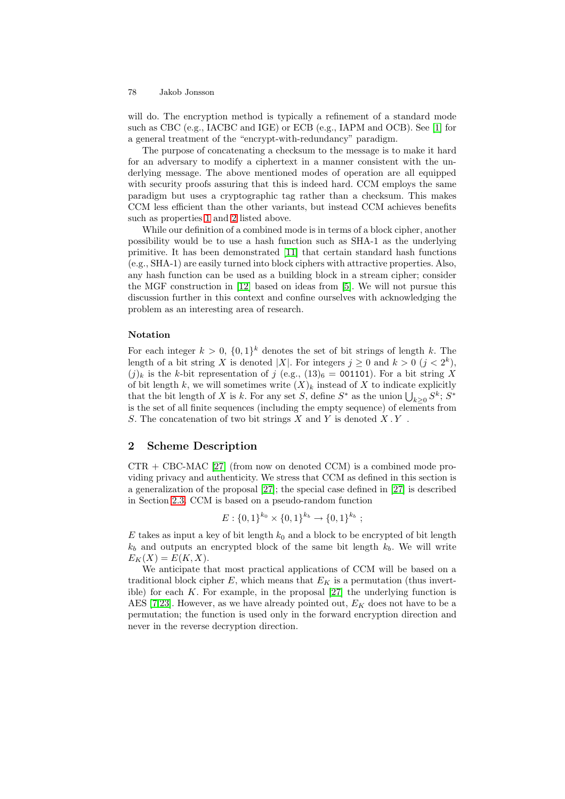will do. The encryption method is typically a refinement of a standard mode such as CBC (e.g., IACBC and IGE) or ECB (e.g., IAPM and OCB). See [\[1\]](#page-11-3) for a general treatment of the "encrypt-with-redundancy" paradigm.

The purpose of concatenating a checksum to the message is to make it hard for an adversary to modify a ciphertext in a manner consistent with the underlying message. The above mentioned modes of operation are all equipped with security proofs assuring that this is indeed hard. CCM employs the same paradigm but uses a cryptographic tag rather than a checksum. This makes CCM less efficient than the other variants, but instead CCM achieves benefits such as properties [1](#page-1-1) and [2](#page-1-0) listed above.

While our definition of a combined mode is in terms of a block cipher, another possibility would be to use a hash function such as SHA-1 as the underlying primitive. It has been demonstrated [\[11\]](#page-12-13) that certain standard hash functions (e.g., SHA-1) are easily turned into block ciphers with attractive properties. Also, any hash function can be used as a building block in a stream cipher; consider the MGF construction in [\[12\]](#page-12-14) based on ideas from [\[5\]](#page-11-4). We will not pursue this discussion further in this context and confine ourselves with acknowledging the problem as an interesting area of research.

# **Notation**

For each integer  $k > 0$ ,  $\{0, 1\}^k$  denotes the set of bit strings of length k. The length of a bit string X is denoted |X|. For integers  $j \geq 0$  and  $k > 0$   $(j < 2<sup>k</sup>)$ ,  $(j)_k$  is the k-bit representation of j (e.g.,  $(13)_6 = 001101$ ). For a bit string X of bit length k, we will sometimes write  $(X)_k$  instead of X to indicate explicitly that the bit length of X is k. For any set S, define  $S^*$  as the union  $\bigcup_{k\geq 0} S^k$ ;  $S^*$ is the set of all finite sequences (including the empty sequence) of elements from S. The concatenation of two bit strings X and Y is denoted  $X$ . Y.

# **2 Scheme Description**

 $CTR + CBC-MAC$  [\[27\]](#page-12-6) (from now on denoted CCM) is a combined mode providing privacy and authenticity. We stress that CCM as defined in this section is a generalization of the proposal [\[27\]](#page-12-6); the special case defined in [\[27\]](#page-12-6) is described in Section [2.3.](#page-5-0) CCM is based on a pseudo-random function

$$
E: \{0,1\}^{k_0} \times \{0,1\}^{k_b} \to \{0,1\}^{k_b};
$$

E takes as input a key of bit length  $k_0$  and a block to be encrypted of bit length  $k_b$  and outputs an encrypted block of the same bit length  $k_b$ . We will write  $E_K(X) = E(K, X).$ 

We anticipate that most practical applications of CCM will be based on a traditional block cipher E, which means that  $E_K$  is a permutation (thus invertible) for each K. For example, in the proposal  $[27]$  the underlying function is AES [\[7](#page-12-15)[,23\]](#page-12-16). However, as we have already pointed out,  $E_K$  does not have to be a permutation; the function is used only in the forward encryption direction and never in the reverse decryption direction.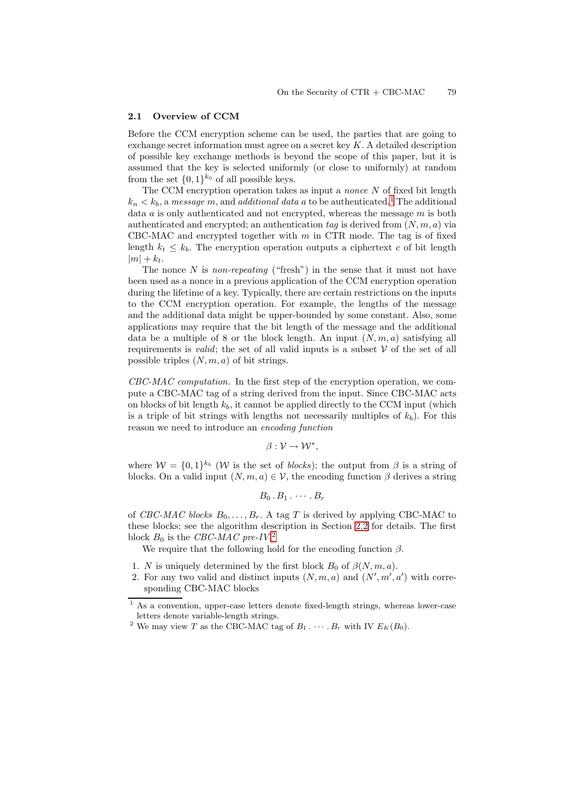### **2.1 Overview of CCM**

Before the CCM encryption scheme can be used, the parties that are going to exchange secret information must agree on a secret key K. A detailed description of possible key exchange methods is beyond the scope of this paper, but it is assumed that the key is selected uniformly (or close to uniformly) at random from the set  $\{0,1\}^{k_0}$  of all possible keys.

The CCM encryption operation takes as input a *nonce* N of fixed bit length  $k_n < k_b$ , a *message* m, and *additional data* a to be authenticated.<sup>[1](#page-3-0)</sup> The additional data a is only authenticated and not encrypted, whereas the message m is both authenticated and encrypted; an authentication  $tag$  is derived from  $(N, m, a)$  via CBC-MAC and encrypted together with  $m$  in CTR mode. The tag is of fixed length  $k_t \leq k_b$ . The encryption operation outputs a ciphertext c of bit length  $|m| + k_t$ .

The nonce N is *non-repeating* ("fresh") in the sense that it must not have been used as a nonce in a previous application of the CCM encryption operation during the lifetime of a key. Typically, there are certain restrictions on the inputs to the CCM encryption operation. For example, the lengths of the message and the additional data might be upper-bounded by some constant. Also, some applications may require that the bit length of the message and the additional data be a multiple of 8 or the block length. An input  $(N, m, a)$  satisfying all requirements is *valid*; the set of all valid inputs is a subset  $V$  of the set of all possible triples  $(N, m, a)$  of bit strings.

*CBC-MAC computation.* In the first step of the encryption operation, we compute a CBC-MAC tag of a string derived from the input. Since CBC-MAC acts on blocks of bit length  $k_b$ , it cannot be applied directly to the CCM input (which is a triple of bit strings with lengths not necessarily multiples of  $k_b$ ). For this reason we need to introduce an *encoding function*

$$
\beta: \mathcal{V} \to \mathcal{W}^*,
$$

where  $W = \{0, 1\}^{k_b}$  (W is the set of *blocks*); the output from  $\beta$  is a string of blocks. On a valid input  $(N, m, a) \in V$ , the encoding function  $\beta$  derives a string

$$
B_0 \cdot B_1 \cdot \cdots \cdot B_r
$$

of *CBC-MAC blocks*  $B_0, \ldots, B_r$ . A tag T is derived by applying CBC-MAC to these blocks; see the algorithm description in Section [2.2](#page-4-0) for details. The first block B<sup>0</sup> is the *CBC-MAC pre-IV*. [2](#page-3-1)

We require that the following hold for the encoding function  $\beta$ .

- 1. N is uniquely determined by the first block  $B_0$  of  $\beta(N, m, a)$ .
- 2. For any two valid and distinct inputs  $(N, m, a)$  and  $(N', m', a')$  with corresponding CBC-MAC blocks

<sup>&</sup>lt;sup>1</sup> As a convention, upper-case letters denote fixed-length strings, whereas lower-case letters denote variable-length strings.

<span id="page-3-1"></span><span id="page-3-0"></span><sup>&</sup>lt;sup>2</sup> We may view *T* as the CBC-MAC tag of  $B_1 \cdot \cdot \cdot \cdot$   $B_r$  with IV  $E_K(B_0)$ .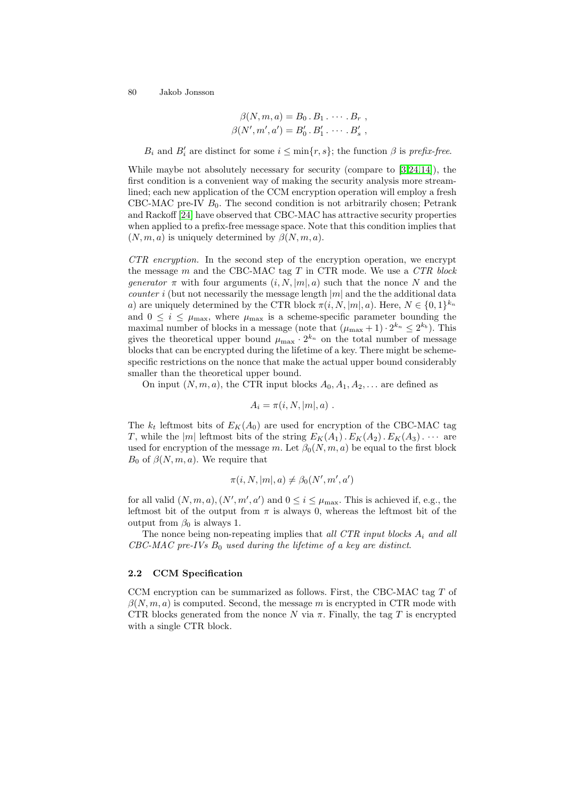$$
\beta(N,m,a) = B_0 \cdot B_1 \cdot \cdots \cdot B_r ,
$$
  

$$
\beta(N',m',a') = B'_0 \cdot B'_1 \cdot \cdots \cdot B'_s ,
$$

 $B_i$  and  $B'_i$  are distinct for some  $i \leq \min\{r, s\}$ ; the function  $\beta$  is *prefix-free*.

While maybe not absolutely necessary for security (compare to [\[3,](#page-11-2)[24,](#page-12-8)[14\]](#page-12-17)), the first condition is a convenient way of making the security analysis more streamlined; each new application of the CCM encryption operation will employ a fresh CBC-MAC pre-IV  $B_0$ . The second condition is not arbitrarily chosen; Petrank and Rackoff [\[24\]](#page-12-8) have observed that CBC-MAC has attractive security properties when applied to a prefix-free message space. Note that this condition implies that  $(N, m, a)$  is uniquely determined by  $\beta(N, m, a)$ .

*CTR encryption.* In the second step of the encryption operation, we encrypt the message m and the CBC-MAC tag T in CTR mode. We use a *CTR block generator*  $\pi$  with four arguments  $(i, N, |m|, a)$  such that the nonce N and the *counter* i (but not necessarily the message length  $|m|$  and the the additional data a) are uniquely determined by the CTR block  $\pi(i, N, |m|, a)$ . Here,  $N \in \{0, 1\}^{k_n}$ and  $0 \leq i \leq \mu_{\text{max}}$ , where  $\mu_{\text{max}}$  is a scheme-specific parameter bounding the maximal number of blocks in a message (note that  $(\mu_{\max} + 1) \cdot 2^{k_n} \leq 2^{k_b}$ ). This gives the theoretical upper bound  $\mu_{\text{max}} \cdot 2^{k_n}$  on the total number of message blocks that can be encrypted during the lifetime of a key. There might be schemespecific restrictions on the nonce that make the actual upper bound considerably smaller than the theoretical upper bound.

On input  $(N, m, a)$ , the CTR input blocks  $A_0, A_1, A_2, \ldots$  are defined as

$$
A_i = \pi(i, N, |m|, a) .
$$

The  $k_t$  leftmost bits of  $E_K(A_0)$  are used for encryption of the CBC-MAC tag T, while the |m| leftmost bits of the string  $E_K(A_1)$ .  $E_K(A_2)$ .  $E_K(A_3)$ .  $\cdots$  are used for encryption of the message m. Let  $\beta_0(N,m,a)$  be equal to the first block  $B_0$  of  $\beta(N,m,a)$ . We require that

$$
\pi(i, N, |m|, a) \neq \beta_0(N', m', a')
$$

for all valid  $(N, m, a)$ ,  $(N', m', a')$  and  $0 \leq i \leq \mu_{\max}$ . This is achieved if, e.g., the leftmost bit of the output from  $\pi$  is always 0, whereas the leftmost bit of the output from  $\beta_0$  is always 1.

The nonce being non-repeating implies that *all CTR input blocks* A<sup>i</sup> *and all CBC-MAC pre-IVs* B<sup>0</sup> *used during the lifetime of a key are distinct*.

## <span id="page-4-0"></span>**2.2 CCM Specification**

CCM encryption can be summarized as follows. First, the CBC-MAC tag T of  $\beta(N,m,a)$  is computed. Second, the message m is encrypted in CTR mode with CTR blocks generated from the nonce N via  $\pi$ . Finally, the tag T is encrypted with a single CTR block.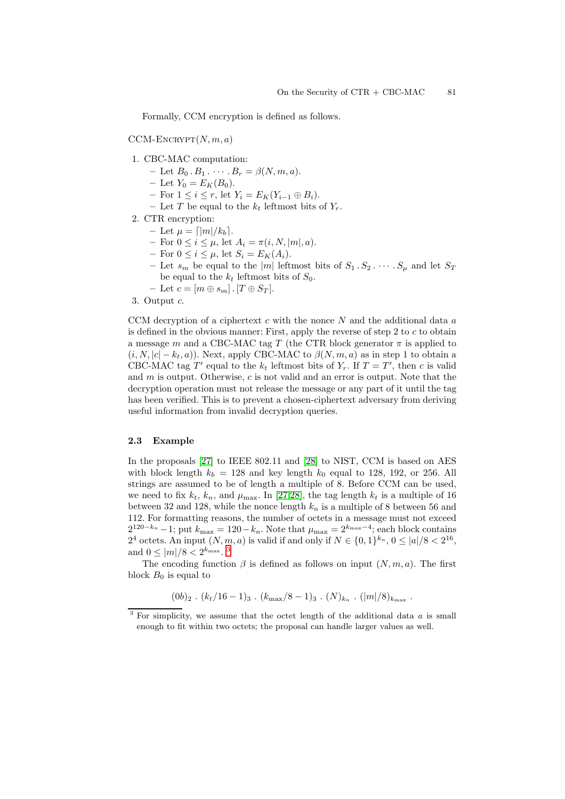Formally, CCM encryption is defined as follows.

 $CCM-ENCRYPT(N, m, a)$ 

- 1. CBC-MAC computation:
	- $-$  Let  $B_0 \tcdot B_1 \tcdots \tcdot B_r = \beta(N, m, a).$
	- $-$  Let  $Y_0 = E_K(B_0)$ .
	- $-$  For  $1 \leq i \leq r$ , let  $Y_i = E_K(Y_{i-1} \oplus B_i)$ .
	- Let T be equal to the  $k_t$  leftmost bits of  $Y_r$ .
- 2. CTR encryption:
	- $-$  Let  $\mu = \lfloor |m|/k_b \rfloor$ .
	- $-$  For  $0 \le i \le \mu$ , let  $A_i = \pi(i, N, |m|, a)$ .
	- $-$  For  $0 \leq i \leq \mu$ , let  $S_i = E_K(A_i)$ .
	- Let  $s_m$  be equal to the  $|m|$  leftmost bits of  $S_1 \tS_2 \tcdots S_\mu$  and let  $S_T$ be equal to the  $k_t$  leftmost bits of  $S_0$ .
	- $-$  Let  $c = [m \oplus s_m]$ .  $[T \oplus S_T]$ .
- 3. Output c.

CCM decryption of a ciphertext  $c$  with the nonce  $N$  and the additional data  $a$ is defined in the obvious manner: First, apply the reverse of step 2 to  $c$  to obtain a message m and a CBC-MAC tag T (the CTR block generator  $\pi$  is applied to  $(i, N, |c| - k_t, a)$ ). Next, apply CBC-MAC to  $\beta(N, m, a)$  as in step 1 to obtain a CBC-MAC tag T' equal to the  $k_t$  leftmost bits of  $Y_r$ . If  $T = T'$ , then c is valid and  $m$  is output. Otherwise,  $c$  is not valid and an error is output. Note that the decryption operation must not release the message or any part of it until the tag has been verified. This is to prevent a chosen-ciphertext adversary from deriving useful information from invalid decryption queries.

### <span id="page-5-0"></span>**2.3 Example**

In the proposals [\[27\]](#page-12-6) to IEEE 802.11 and [\[28\]](#page-13-0) to NIST, CCM is based on AES with block length  $k_b = 128$  and key length  $k_0$  equal to 128, 192, or 256. All strings are assumed to be of length a multiple of 8. Before CCM can be used, we need to fix  $k_t$ ,  $k_n$ , and  $\mu_{\text{max}}$ . In [\[27,](#page-12-6)[28\]](#page-13-0), the tag length  $k_t$  is a multiple of 16 between 32 and 128, while the nonce length  $k_n$  is a multiple of 8 between 56 and 112. For formatting reasons, the number of octets in a message must not exceed  $2^{120-k_n}-1$ ; put  $k_{\text{max}} = 120-k_n$ . Note that  $\mu_{\text{max}} = 2^{k_{\text{max}}-4}$ ; each block contains 2<sup>4</sup> octets. An input  $(N, m, a)$  is valid if and only if  $N \in \{0, 1\}^{k_n}$ ,  $0 \leq |a|/8 < 2^{16}$ , and  $0 \leq |m|/8 < 2^{k_{\text{max}}}$ . <sup>[3](#page-5-1)</sup>

The encoding function  $\beta$  is defined as follows on input  $(N, m, a)$ . The first block  $B_0$  is equal to

$$
(0b)_2
$$
.  $(k_t/16-1)_3$ .  $(k_{\text{max}}/8-1)_3$ .  $(N)_{k_n}$ .  $(|m|/8)_{k_{\text{max}}}$ .

<span id="page-5-1"></span><sup>3</sup> For simplicity, we assume that the octet length of the additional data *a* is small enough to fit within two octets; the proposal can handle larger values as well.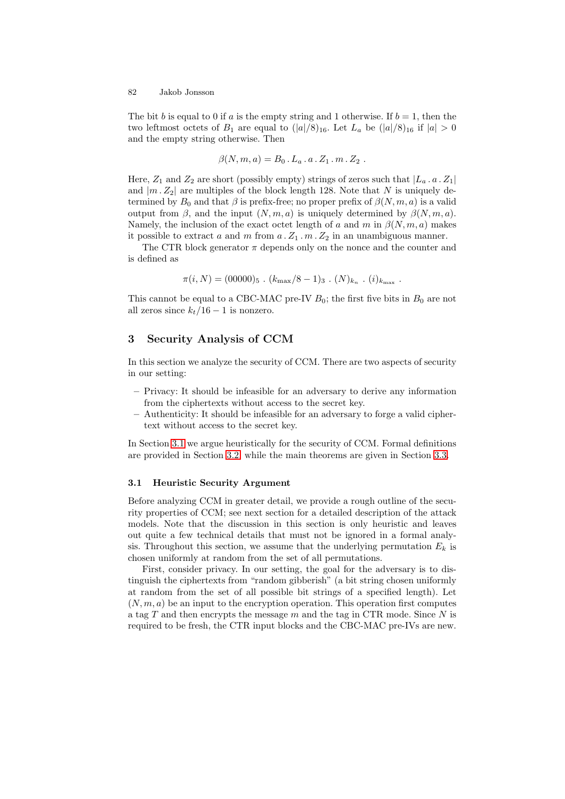The bit b is equal to 0 if a is the empty string and 1 otherwise. If  $b = 1$ , then the two leftmost octets of  $B_1$  are equal to  $(|a|/8)_{16}$ . Let  $L_a$  be  $(|a|/8)_{16}$  if  $|a| > 0$ and the empty string otherwise. Then

$$
\beta(N,m,a) = B_0 \cdot L_a \cdot a \cdot Z_1 \cdot m \cdot Z_2 .
$$

Here,  $Z_1$  and  $Z_2$  are short (possibly empty) strings of zeros such that  $|L_a a Z_1|$ and  $|m Z_2|$  are multiples of the block length 128. Note that N is uniquely determined by  $B_0$  and that  $\beta$  is prefix-free; no proper prefix of  $\beta(N,m,a)$  is a valid output from  $\beta$ , and the input  $(N, m, a)$  is uniquely determined by  $\beta(N, m, a)$ . Namely, the inclusion of the exact octet length of a and m in  $\beta(N,m,a)$  makes it possible to extract a and m from  $a \cdot Z_1 \cdot m \cdot Z_2$  in an unambiguous manner.

The CTR block generator  $\pi$  depends only on the nonce and the counter and is defined as

$$
\pi(i,N) = (00000)_5 \, . \, (k_{\text{max}}/8 - 1)_3 \, . \, (N)_{k_n} \, . \, (i)_{k_{\text{max}}} \, .
$$

This cannot be equal to a CBC-MAC pre-IV  $B_0$ ; the first five bits in  $B_0$  are not all zeros since  $k_t/16-1$  is nonzero.

# **3 Security Analysis of CCM**

In this section we analyze the security of CCM. There are two aspects of security in our setting:

- **–** Privacy: It should be infeasible for an adversary to derive any information from the ciphertexts without access to the secret key.
- **–** Authenticity: It should be infeasible for an adversary to forge a valid ciphertext without access to the secret key.

In Section [3.1](#page-6-0) we argue heuristically for the security of CCM. Formal definitions are provided in Section [3.2,](#page-7-0) while the main theorems are given in Section [3.3.](#page-9-0)

# <span id="page-6-0"></span>**3.1 Heuristic Security Argument**

Before analyzing CCM in greater detail, we provide a rough outline of the security properties of CCM; see next section for a detailed description of the attack models. Note that the discussion in this section is only heuristic and leaves out quite a few technical details that must not be ignored in a formal analysis. Throughout this section, we assume that the underlying permutation  $E_k$  is chosen uniformly at random from the set of all permutations.

First, consider privacy. In our setting, the goal for the adversary is to distinguish the ciphertexts from "random gibberish" (a bit string chosen uniformly at random from the set of all possible bit strings of a specified length). Let  $(N, m, a)$  be an input to the encryption operation. This operation first computes a tag T and then encrypts the message m and the tag in CTR mode. Since N is required to be fresh, the CTR input blocks and the CBC-MAC pre-IVs are new.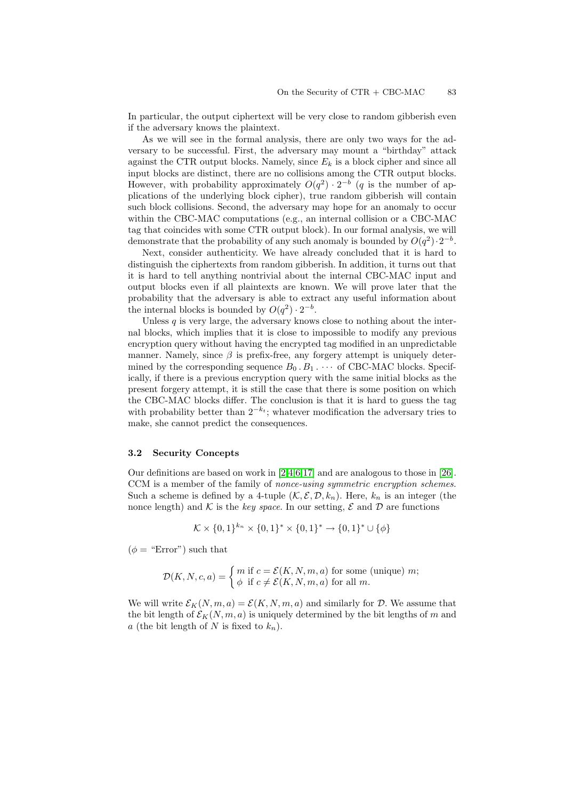In particular, the output ciphertext will be very close to random gibberish even if the adversary knows the plaintext.

As we will see in the formal analysis, there are only two ways for the adversary to be successful. First, the adversary may mount a "birthday" attack against the CTR output blocks. Namely, since  $E_k$  is a block cipher and since all input blocks are distinct, there are no collisions among the CTR output blocks. However, with probability approximately  $O(q^2) \cdot 2^{-b}$  (q is the number of applications of the underlying block cipher), true random gibberish will contain such block collisions. Second, the adversary may hope for an anomaly to occur within the CBC-MAC computations (e.g., an internal collision or a CBC-MAC tag that coincides with some CTR output block). In our formal analysis, we will demonstrate that the probability of any such anomaly is bounded by  $O(q^2) \cdot 2^{-b}$ .

Next, consider authenticity. We have already concluded that it is hard to distinguish the ciphertexts from random gibberish. In addition, it turns out that it is hard to tell anything nontrivial about the internal CBC-MAC input and output blocks even if all plaintexts are known. We will prove later that the probability that the adversary is able to extract any useful information about the internal blocks is bounded by  $O(q^2) \cdot 2^{-b}$ .

Unless  $q$  is very large, the adversary knows close to nothing about the internal blocks, which implies that it is close to impossible to modify any previous encryption query without having the encrypted tag modified in an unpredictable manner. Namely, since  $\beta$  is prefix-free, any forgery attempt is uniquely determined by the corresponding sequence  $B_0 \tcdot B_1 \cdots$  of CBC-MAC blocks. Specifically, if there is a previous encryption query with the same initial blocks as the present forgery attempt, it is still the case that there is some position on which the CBC-MAC blocks differ. The conclusion is that it is hard to guess the tag with probability better than  $2^{-k_t}$ ; whatever modification the adversary tries to make, she cannot predict the consequences.

#### <span id="page-7-0"></span>**3.2 Security Concepts**

Our definitions are based on work in [\[2,](#page-11-1)[4,](#page-11-0)[6](#page-12-18)[,17\]](#page-12-19) and are analogous to those in [\[26\]](#page-12-10). CCM is a member of the family of *nonce-using symmetric encryption schemes*. Such a scheme is defined by a 4-tuple  $(\mathcal{K}, \mathcal{E}, \mathcal{D}, k_n)$ . Here,  $k_n$  is an integer (the nonce length) and  $K$  is the *key space*. In our setting,  $\mathcal E$  and  $\mathcal D$  are functions

$$
\mathcal{K} \times \{0,1\}^{k_n} \times \{0,1\}^* \times \{0,1\}^* \to \{0,1\}^* \cup \{\phi\}
$$

 $(\phi = \text{``Error''})$  such that

$$
\mathcal{D}(K, N, c, a) = \begin{cases} m \text{ if } c = \mathcal{E}(K, N, m, a) \text{ for some (unique) } m; \\ \phi \text{ if } c \neq \mathcal{E}(K, N, m, a) \text{ for all } m. \end{cases}
$$

We will write  $\mathcal{E}_K(N,m,a) = \mathcal{E}(K,N,m,a)$  and similarly for D. We assume that the bit length of  $\mathcal{E}_K(N,m,a)$  is uniquely determined by the bit lengths of m and a (the bit length of N is fixed to  $k_n$ ).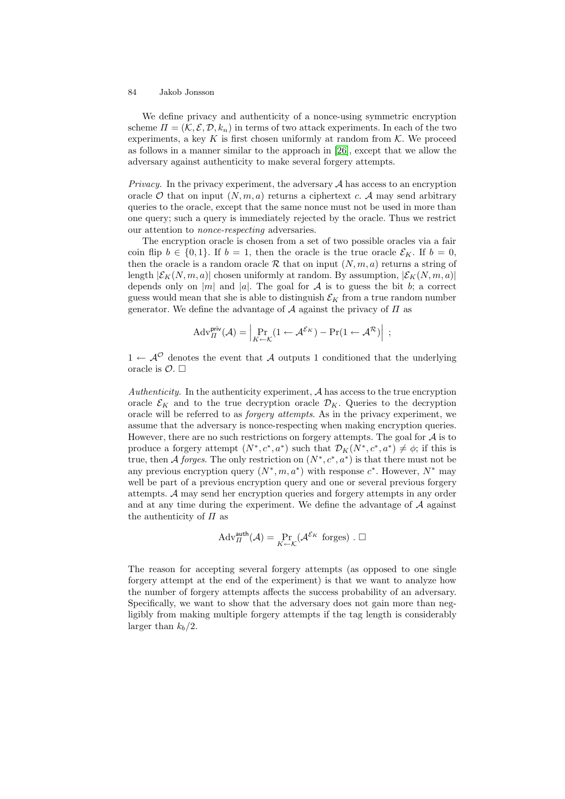We define privacy and authenticity of a nonce-using symmetric encryption scheme  $\Pi = (\mathcal{K}, \mathcal{E}, \mathcal{D}, k_n)$  in terms of two attack experiments. In each of the two experiments, a key K is first chosen uniformly at random from  $K$ . We proceed as follows in a manner similar to the approach in [\[26\]](#page-12-10), except that we allow the adversary against authenticity to make several forgery attempts.

*Privacy.* In the privacy experiment, the adversary A has access to an encryption oracle  $\mathcal O$  that on input  $(N, m, a)$  returns a ciphertext c. A may send arbitrary queries to the oracle, except that the same nonce must not be used in more than one query; such a query is immediately rejected by the oracle. Thus we restrict our attention to *nonce-respecting* adversaries.

The encryption oracle is chosen from a set of two possible oracles via a fair coin flip  $b \in \{0,1\}$ . If  $b = 1$ , then the oracle is the true oracle  $\mathcal{E}_K$ . If  $b = 0$ , then the oracle is a random oracle R that on input  $(N, m, a)$  returns a string of length  $|\mathcal{E}_K(N,m,a)|$  chosen uniformly at random. By assumption,  $|\mathcal{E}_K(N,m,a)|$ depends only on |m| and |a|. The goal for A is to guess the bit b; a correct guess would mean that she is able to distinguish  $\mathcal{E}_K$  from a true random number generator. We define the advantage of  $A$  against the privacy of  $\Pi$  as

$$
\mathrm{Adv}_{\Pi}^{\mathsf{priv}}(\mathcal{A}) = \left| \Pr_{K \leftarrow \mathcal{K}} (1 \leftarrow \mathcal{A}^{\mathcal{E}_K}) - \Pr(1 \leftarrow \mathcal{A}^{\mathcal{R}}) \right| \right| ;
$$

 $1 \leftarrow \mathcal{A}^{\mathcal{O}}$  denotes the event that A outputs 1 conditioned that the underlying oracle is  $\mathcal{O}$ .  $\square$ 

*Authenticity.* In the authenticity experiment, A has access to the true encryption oracle  $\mathcal{E}_K$  and to the true decryption oracle  $\mathcal{D}_K$ . Queries to the decryption oracle will be referred to as *forgery attempts*. As in the privacy experiment, we assume that the adversary is nonce-respecting when making encryption queries. However, there are no such restrictions on forgery attempts. The goal for  $A$  is to produce a forgery attempt  $(N^*, c^*, a^*)$  such that  $\mathcal{D}_K(N^*, c^*, a^*) \neq \phi$ ; if this is true, then A *forges*. The only restriction on  $(N^*, c^*, a^*)$  is that there must not be any previous encryption query  $(N^*, m, a^*)$  with response  $c^*$ . However,  $N^*$  may well be part of a previous encryption query and one or several previous forgery attempts. A may send her encryption queries and forgery attempts in any order and at any time during the experiment. We define the advantage of  $A$  against the authenticity of  $\Pi$  as

$$
Adv_{\Pi}^{\text{auth}}(\mathcal{A}) = \Pr_{K \leftarrow \mathcal{K}}(\mathcal{A}^{\mathcal{E}_K} \text{ forges}) . \Box
$$

The reason for accepting several forgery attempts (as opposed to one single forgery attempt at the end of the experiment) is that we want to analyze how the number of forgery attempts affects the success probability of an adversary. Specifically, we want to show that the adversary does not gain more than negligibly from making multiple forgery attempts if the tag length is considerably larger than  $k_b/2$ .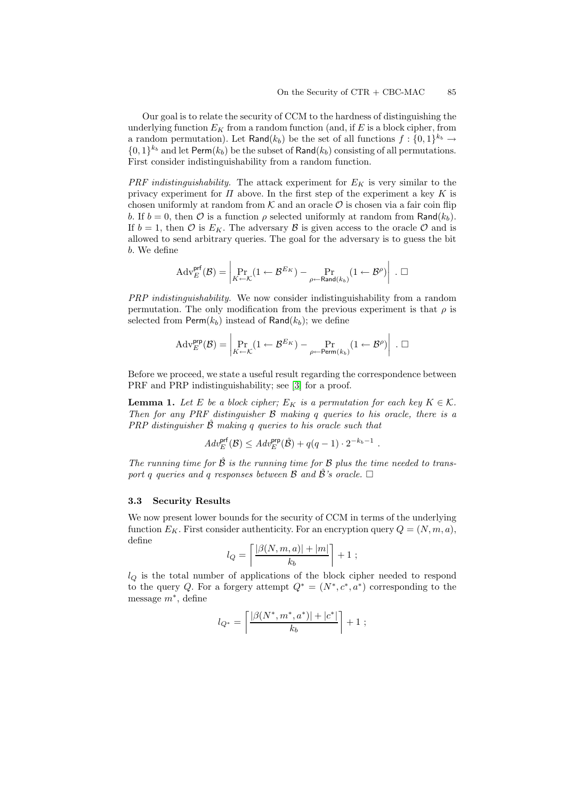l,

Our goal is to relate the security of CCM to the hardness of distinguishing the underlying function  $E_K$  from a random function (and, if E is a block cipher, from a random permutation). Let Rand( $k_b$ ) be the set of all functions  $f: \{0,1\}^{k_b} \rightarrow$  $\{0,1\}^{k_b}$  and let Perm $(k_b)$  be the subset of Rand $(k_b)$  consisting of all permutations. First consider indistinguishability from a random function.

*PRF indistinguishability.* The attack experiment for  $E_K$  is very similar to the privacy experiment for  $\Pi$  above. In the first step of the experiment a key K is chosen uniformly at random from  $K$  and an oracle  $\mathcal O$  is chosen via a fair coin flip b. If  $b = 0$ , then  $\mathcal O$  is a function  $\rho$  selected uniformly at random from Rand( $k_b$ ). If  $b = 1$ , then  $\mathcal O$  is  $E_K$ . The adversary  $\mathcal B$  is given access to the oracle  $\mathcal O$  and is allowed to send arbitrary queries. The goal for the adversary is to guess the bit b. We define

$$
\mathrm{Adv}_{E}^{\mathsf{prf}}(\mathcal{B}) = \left| \Pr_{K \leftarrow \mathcal{K}} (1 \leftarrow \mathcal{B}^{E_K}) - \Pr_{\rho \leftarrow \mathsf{Rand}(k_b)} (1 \leftarrow \mathcal{B}^{\rho}) \right| \right| \ . \ \Box
$$

*PRP indistinguishability.* We now consider indistinguishability from a random permutation. The only modification from the previous experiment is that  $\rho$  is selected from  $\text{Perm}(k_b)$  instead of Rand $(k_b)$ ; we define

$$
\mathrm{Adv}_{E}^{\mathsf{prp}}(\mathcal{B}) = \left| \Pr_{K \leftarrow \mathcal{K}} (1 \leftarrow \mathcal{B}^{E_K}) - \Pr_{\rho \leftarrow \mathsf{Perm}(k_b)} (1 \leftarrow \mathcal{B}^{\rho}) \right| \right| \ . \ \Box
$$

<span id="page-9-1"></span>Before we proceed, we state a useful result regarding the correspondence between PRF and PRP indistinguishability; see [\[3\]](#page-11-2) for a proof.

**Lemma 1.** Let E be a block cipher;  $E_K$  is a permutation for each key  $K \in \mathcal{K}$ . *Then for any PRF distinguisher* B *making* q *queries to his oracle, there is a PRP distinguisher* Bˆ *making* q *queries to his oracle such that*

$$
Adv_E^{\text{prf}}(\mathcal{B}) \leq Adv_E^{\text{prp}}(\hat{\mathcal{B}}) + q(q-1) \cdot 2^{-k_b-1} \ .
$$

*The running time for*  $\hat{B}$  *is the running time for*  $B$  *plus the time needed to transport* q queries and q responses between  $\mathcal B$  and  $\mathcal B$ 's oracle.  $\Box$ 

### <span id="page-9-0"></span>**3.3 Security Results**

We now present lower bounds for the security of CCM in terms of the underlying function  $E_K$ . First consider authenticity. For an encryption query  $Q = (N, m, a)$ , define

$$
l_Q = \left\lceil \frac{|\beta(N,m,a)| + |m|}{k_b} \right\rceil + 1 ;
$$

 $l_Q$  is the total number of applications of the block cipher needed to respond to the query Q. For a forgery attempt  $Q^* = (N^*, c^*, a^*)$  corresponding to the message  $m^*$ , define

$$
l_{Q^*} = \left\lceil \frac{|\beta(N^*, m^*, a^*)| + |c^*|}{k_b} \right\rceil + 1 ;
$$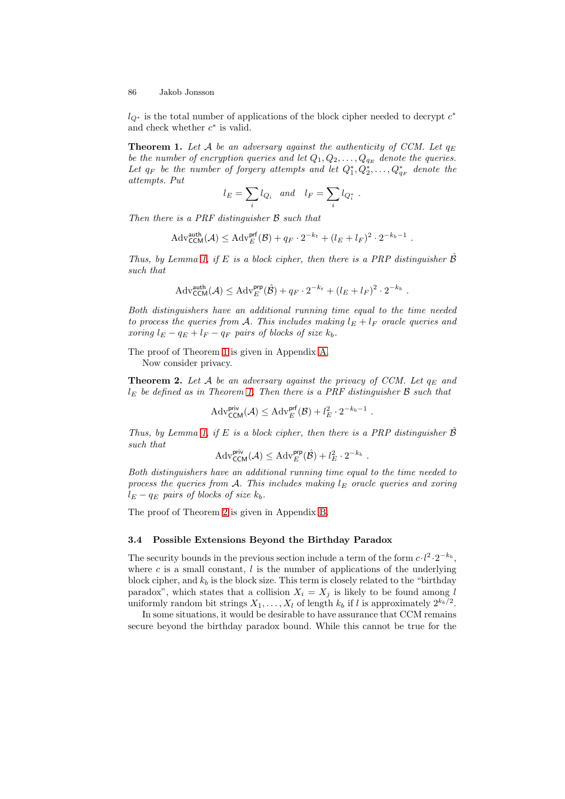<span id="page-10-0"></span> $l_{Q^*}$  is the total number of applications of the block cipher needed to decrypt  $c^*$ and check whether  $c^*$  is valid.

**Theorem 1.** Let A be an adversary against the authenticity of CCM. Let  $q_E$ *be the number of encryption queries and let*  $Q_1, Q_2, \ldots, Q_{q_E}$  *denote the queries.* Let  $q_F$  be the number of forgery attempts and let  $Q_1^*, Q_2^*, \ldots, Q_{q_F}^*$  denote the *attempts. Put*

$$
l_E = \sum_i l_{Q_i} \quad and \quad l_F = \sum_i l_{Q_i^*} \ .
$$

*Then there is a PRF distinguisher* B *such that*

$$
\mathrm{Adv}_{\mathsf{CCM}}^{\mathsf{auth}}(\mathcal{A}) \leq \mathrm{Adv}_{E}^{\mathsf{prf}}(\mathcal{B}) + q_F \cdot 2^{-k_t} + (l_E + l_F)^2 \cdot 2^{-k_b - 1} \ .
$$

*Thus, by Lemma [1,](#page-9-1) if* E *is a block cipher, then there is a PRP distinguisher*  $\hat{\beta}$ *such that*

$$
\mathrm{Adv}_{\mathsf{CCM}}^{\mathsf{auth}}(\mathcal{A}) \leq \mathrm{Adv}_{E}^{\mathsf{prp}}(\hat{\mathcal{B}}) + q_F \cdot 2^{-k_t} + (l_E + l_F)^2 \cdot 2^{-k_b}.
$$

*Both distinguishers have an additional running time equal to the time needed to process the queries from A. This includes making*  $l_E + l_F$  *oracle queries and*  $xoring \ l_E - q_E + l_F - q_F \ pairs \ of \ blocks \ of \ size \ k_b$ .

The proof of Theorem [1](#page-10-0) is given in Appendix [A.](#page-13-1)

<span id="page-10-1"></span>Now consider privacy.

**Theorem 2.** Let A be an adversary against the privacy of CCM. Let  $q_E$  and l<sup>E</sup> *be defined as in Theorem [1.](#page-10-0) Then there is a PRF distinguisher* B *such that*

$$
Adv_{\mathsf{CCM}}^{\mathsf{priv}}(\mathcal{A}) \leq Adv_{E}^{\mathsf{prf}}(\mathcal{B}) + l_{E}^{2} \cdot 2^{-k_{b}-1} .
$$

*Thus, by Lemma [1,](#page-9-1) if*  $E$  *is a block cipher, then there is a PRP distinguisher*  $B$ *such that*

$$
\mathrm{Adv}_{\mathsf{CCM}}^{\mathsf{priv}}(\mathcal{A}) \leq \mathrm{Adv}_{E}^{\mathsf{prp}}(\hat{\mathcal{B}}) + l_{E}^{2} \cdot 2^{-k_{b}}.
$$

*Both distinguishers have an additional running time equal to the time needed to process the queries from A. This includes making*  $l_E$  *oracle queries and xoring*  $l_E - q_E$  pairs of blocks of size  $k_b$ .

The proof of Theorem [2](#page-10-1) is given in Appendix [B.](#page-17-0)

## **3.4 Possible Extensions Beyond the Birthday Paradox**

The security bounds in the previous section include a term of the form  $c \cdot l^2 \cdot 2^{-k_b}$ , where c is a small constant,  $l$  is the number of applications of the underlying block cipher, and  $k_b$  is the block size. This term is closely related to the "birthday" paradox", which states that a collision  $X_i = X_j$  is likely to be found among l uniformly random bit strings  $X_1, \ldots, X_l$  of length  $k_b$  if l is approximately  $2^{k_b/2}$ .

In some situations, it would be desirable to have assurance that CCM remains secure beyond the birthday paradox bound. While this cannot be true for the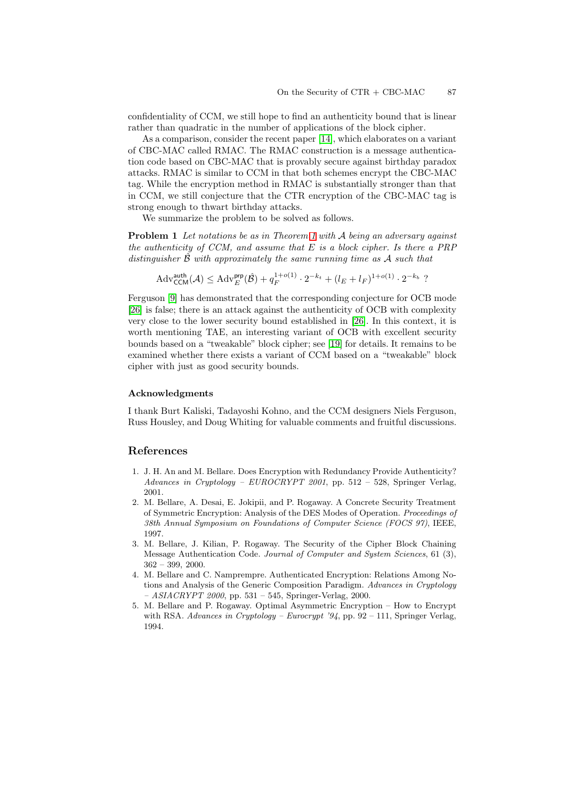confidentiality of CCM, we still hope to find an authenticity bound that is linear rather than quadratic in the number of applications of the block cipher.

As a comparison, consider the recent paper [\[14\]](#page-12-17), which elaborates on a variant of CBC-MAC called RMAC. The RMAC construction is a message authentication code based on CBC-MAC that is provably secure against birthday paradox attacks. RMAC is similar to CCM in that both schemes encrypt the CBC-MAC tag. While the encryption method in RMAC is substantially stronger than that in CCM, we still conjecture that the CTR encryption of the CBC-MAC tag is strong enough to thwart birthday attacks.

We summarize the problem to be solved as follows.

**Problem 1** *Let notations be as in Theorem [1](#page-10-0) with* A *being an adversary against the authenticity of CCM, and assume that* E *is a block cipher. Is there a PRP distinguisher* Bˆ *with approximately the same running time as* A *such that*

 $\mathrm{Adv}_{\mathsf{CCM}}^{\mathsf{auth}}(\mathcal{A}) \leq \mathrm{Adv}_{E}^{\mathsf{prp}}(\hat{\mathcal{B}}) + q_F^{1+o(1)} \cdot 2^{-k_t} + (l_E + l_F)^{1+o(1)} \cdot 2^{-k_b}$ ?

Ferguson [\[9\]](#page-12-20) has demonstrated that the corresponding conjecture for OCB mode [\[26\]](#page-12-10) is false; there is an attack against the authenticity of OCB with complexity very close to the lower security bound established in [\[26\]](#page-12-10). In this context, it is worth mentioning TAE, an interesting variant of OCB with excellent security bounds based on a "tweakable" block cipher; see [\[19\]](#page-12-21) for details. It remains to be examined whether there exists a variant of CCM based on a "tweakable" block cipher with just as good security bounds.

### **Acknowledgments**

I thank Burt Kaliski, Tadayoshi Kohno, and the CCM designers Niels Ferguson, Russ Housley, and Doug Whiting for valuable comments and fruitful discussions.

## <span id="page-11-3"></span>**References**

- 1. J. H. An and M. Bellare. Does Encryption with Redundancy Provide Authenticity? *Advances in Cryptology – EUROCRYPT 2001*, pp. 512 – 528, Springer Verlag, 2001.
- <span id="page-11-1"></span>2. M. Bellare, A. Desai, E. Jokipii, and P. Rogaway. A Concrete Security Treatment of Symmetric Encryption: Analysis of the DES Modes of Operation. *Proceedings of 38th Annual Symposium on Foundations of Computer Science (FOCS 97)*, IEEE, 1997.
- <span id="page-11-2"></span>3. M. Bellare, J. Kilian, P. Rogaway. The Security of the Cipher Block Chaining Message Authentication Code. *Journal of Computer and System Sciences*, 61 (3), 362 – 399, 2000.
- <span id="page-11-0"></span>4. M. Bellare and C. Namprempre. Authenticated Encryption: Relations Among Notions and Analysis of the Generic Composition Paradigm. *Advances in Cryptology – ASIACRYPT 2000*, pp. 531 – 545, Springer-Verlag, 2000.
- <span id="page-11-4"></span>5. M. Bellare and P. Rogaway. Optimal Asymmetric Encryption – How to Encrypt with RSA. *Advances in Cryptology – Eurocrypt '94*, pp. 92 – 111, Springer Verlag, 1994.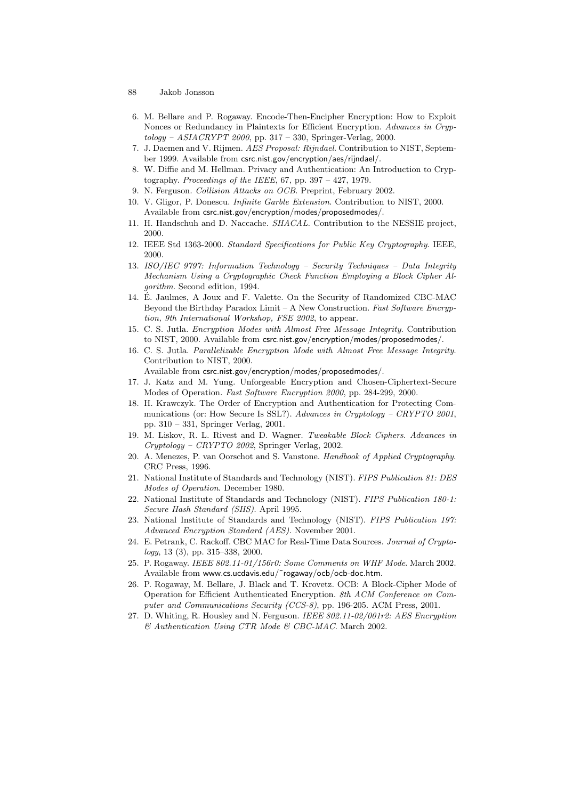- <span id="page-12-18"></span>6. M. Bellare and P. Rogaway. Encode-Then-Encipher Encryption: How to Exploit Nonces or Redundancy in Plaintexts for Efficient Encryption. *Advances in Cryptology – ASIACRYPT 2000*, pp. 317 – 330, Springer-Verlag, 2000.
- <span id="page-12-15"></span>7. J. Daemen and V. Rijmen. *AES Proposal: Rijndael*. Contribution to NIST, September 1999. Available from csrc.nist.gov/encryption/aes/rijndael/.
- <span id="page-12-1"></span>8. W. Diffie and M. Hellman. Privacy and Authentication: An Introduction to Cryptography. *Proceedings of the IEEE*, 67, pp. 397 – 427, 1979.
- <span id="page-12-20"></span>9. N. Ferguson. *Collision Attacks on OCB*. Preprint, February 2002.
- <span id="page-12-12"></span>10. V. Gligor, P. Donescu. *Infinite Garble Extension*. Contribution to NIST, 2000. Available from csrc.nist.gov/encryption/modes/proposedmodes/.
- <span id="page-12-14"></span><span id="page-12-13"></span>11. H. Handschuh and D. Naccache. *SHACAL*. Contribution to the NESSIE project, 2000.
- <span id="page-12-5"></span>12. IEEE Std 1363-2000. *Standard Specifications for Public Key Cryptography*. IEEE, 2000.
- 13. *ISO/IEC 9797: Information Technology Security Techniques Data Integrity Mechanism Using a Cryptographic Check Function Employing a Block Cipher Algorithm*. Second edition, 1994.
- <span id="page-12-17"></span>14. E. Jaulmes, A Joux and F. Valette. On the Security of Randomized CBC-MAC ´ Beyond the Birthday Paradox Limit – A New Construction. *Fast Software Encryption, 9th International Workshop, FSE 2002*, to appear.
- <span id="page-12-11"></span>15. C. S. Jutla. *Encryption Modes with Almost Free Message Integrity*. Contribution to NIST, 2000. Available from csrc.nist.gov/encryption/modes/proposedmodes/.
- <span id="page-12-9"></span>16. C. S. Jutla. *Parallelizable Encryption Mode with Almost Free Message Integrity*. Contribution to NIST, 2000. Available from csrc.nist.gov/encryption/modes/proposedmodes/.
- <span id="page-12-19"></span>17. J. Katz and M. Yung. Unforgeable Encryption and Chosen-Ciphertext-Secure Modes of Operation. *Fast Software Encryption 2000*, pp. 284-299, 2000.
- <span id="page-12-4"></span>18. H. Krawczyk. The Order of Encryption and Authentication for Protecting Communications (or: How Secure Is SSL?). *Advances in Cryptology – CRYPTO 2001*, pp. 310 – 331, Springer Verlag, 2001.
- <span id="page-12-21"></span>19. M. Liskov, R. L. Rivest and D. Wagner. *Tweakable Block Ciphers*. *Advances in Cryptology – CRYPTO 2002*, Springer Verlag, 2002.
- <span id="page-12-2"></span>20. A. Menezes, P. van Oorschot and S. Vanstone. *Handbook of Applied Cryptography*. CRC Press, 1996.
- <span id="page-12-0"></span>21. National Institute of Standards and Technology (NIST). *FIPS Publication 81: DES Modes of Operation*. December 1980.
- <span id="page-12-3"></span>22. National Institute of Standards and Technology (NIST). *FIPS Publication 180-1: Secure Hash Standard (SHS)*. April 1995.
- <span id="page-12-16"></span>23. National Institute of Standards and Technology (NIST). *FIPS Publication 197: Advanced Encryption Standard (AES)*. November 2001.
- <span id="page-12-8"></span>24. E. Petrank, C. Rackoff. CBC MAC for Real-Time Data Sources. *Journal of Cryptology*, 13 (3), pp. 315–338, 2000.
- <span id="page-12-7"></span>25. P. Rogaway. *IEEE 802.11-01/156r0: Some Comments on WHF Mode*. March 2002. Available from www.cs.ucdavis.edu/˜rogaway/ocb/ocb-doc.htm.
- <span id="page-12-10"></span>26. P. Rogaway, M. Bellare, J. Black and T. Krovetz. OCB: A Block-Cipher Mode of Operation for Efficient Authenticated Encryption. *8th ACM Conference on Computer and Communications Security (CCS-8)*, pp. 196-205. ACM Press, 2001.
- <span id="page-12-6"></span>27. D. Whiting, R. Housley and N. Ferguson. *IEEE 802.11-02/001r2: AES Encryption & Authentication Using CTR Mode & CBC-MAC*. March 2002.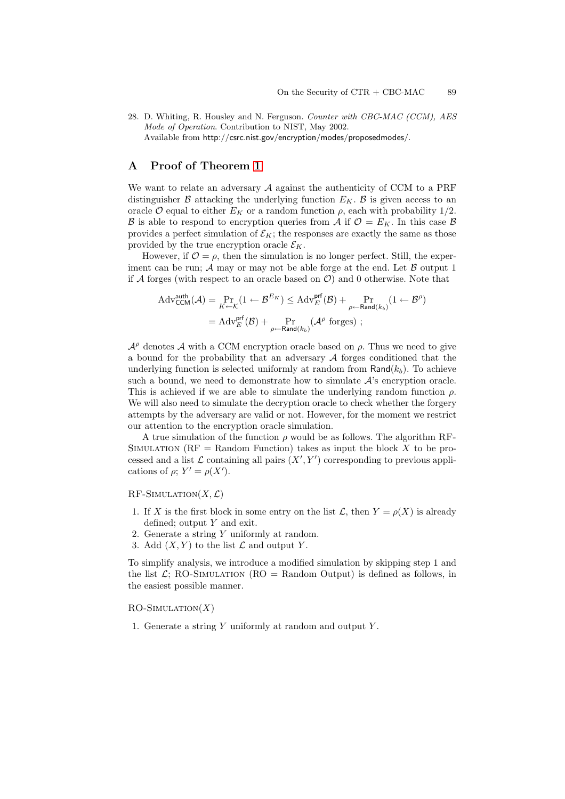<span id="page-13-0"></span>28. D. Whiting, R. Housley and N. Ferguson. *Counter with CBC-MAC (CCM), AES Mode of Operation*. Contribution to NIST, May 2002. Available from http://csrc.nist.gov/encryption/modes/proposedmodes/.

# <span id="page-13-1"></span>**A Proof of Theorem [1](#page-10-0)**

We want to relate an adversary  $A$  against the authenticity of CCM to a PRF distinguisher  $\beta$  attacking the underlying function  $E_K$ .  $\beta$  is given access to an oracle O equal to either  $E_K$  or a random function  $\rho$ , each with probability 1/2. B is able to respond to encryption queries from  $\mathcal A$  if  $\mathcal O = E_K$ . In this case B provides a perfect simulation of  $\mathcal{E}_K$ ; the responses are exactly the same as those provided by the true encryption oracle  $\mathcal{E}_K$ .

However, if  $\mathcal{O} = \rho$ , then the simulation is no longer perfect. Still, the experiment can be run;  $\mathcal A$  may or may not be able forge at the end. Let  $\mathcal B$  output 1 if A forges (with respect to an oracle based on  $\mathcal{O}$ ) and 0 otherwise. Note that

$$
Adv_{\mathsf{CCM}}^{\mathsf{auth}}(\mathcal{A}) = \Pr_{K \leftarrow \mathcal{K}}(1 \leftarrow \mathcal{B}^{E_K}) \leq Adv_{E}^{\mathsf{prf}}(\mathcal{B}) + \Pr_{\rho \leftarrow \mathsf{Rand}(k_b)}(1 \leftarrow \mathcal{B}^{\rho})
$$

$$
= Adv_{E}^{\mathsf{prf}}(\mathcal{B}) + \Pr_{\rho \leftarrow \mathsf{Rand}(k_b)}(\mathcal{A}^{\rho} \text{ forges}) ;
$$

 $\mathcal{A}^{\rho}$  denotes A with a CCM encryption oracle based on  $\rho$ . Thus we need to give a bound for the probability that an adversary  $A$  forges conditioned that the underlying function is selected uniformly at random from  $\textsf{Rand}(k_b)$ . To achieve such a bound, we need to demonstrate how to simulate  $\mathcal{A}$ 's encryption oracle. This is achieved if we are able to simulate the underlying random function  $\rho$ . We will also need to simulate the decryption oracle to check whether the forgery attempts by the adversary are valid or not. However, for the moment we restrict our attention to the encryption oracle simulation.

A true simulation of the function  $\rho$  would be as follows. The algorithm RF-SIMULATION ( $RF =$  Random Function) takes as input the block X to be processed and a list  $\mathcal L$  containing all pairs  $(X', Y')$  corresponding to previous applications of  $\rho$ ;  $Y' = \rho(X')$ .

 $RF$ -Simulation $(X, \mathcal{L})$ 

- 1. If X is the first block in some entry on the list  $\mathcal{L}$ , then  $Y = \rho(X)$  is already defined; output Y and exit.
- 2. Generate a string Y uniformly at random.
- 3. Add  $(X, Y)$  to the list  $\mathcal L$  and output Y.

To simplify analysis, we introduce a modified simulation by skipping step 1 and the list  $\mathcal{L}$ ; RO-SIMULATION (RO = Random Output) is defined as follows, in the easiest possible manner.

 $RO-SIMULATION(X)$ 

1. Generate a string Y uniformly at random and output Y .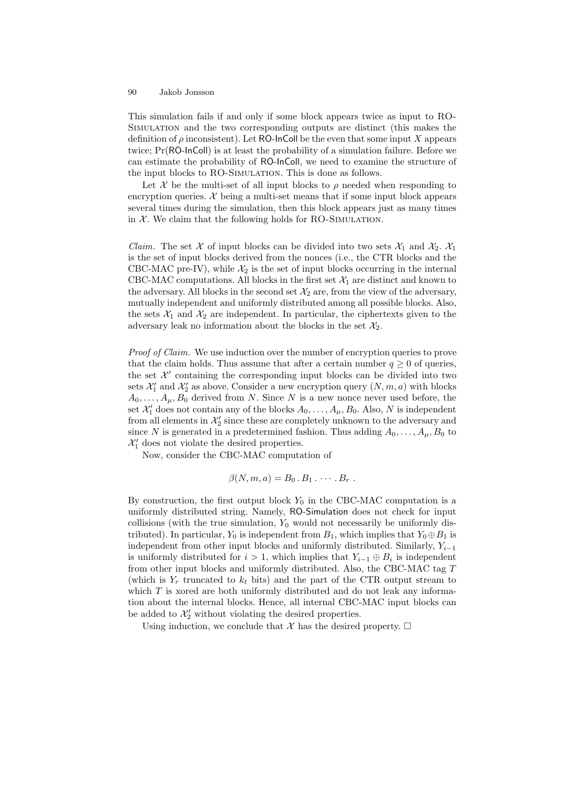This simulation fails if and only if some block appears twice as input to RO-Simulation and the two corresponding outputs are distinct (this makes the definition of  $\rho$  inconsistent). Let RO-InColl be the even that some input X appears twice; Pr(RO-InColl) is at least the probability of a simulation failure. Before we can estimate the probability of RO-InColl, we need to examine the structure of the input blocks to RO-SIMULATION. This is done as follows.

Let X be the multi-set of all input blocks to  $\rho$  needed when responding to encryption queries.  $\mathcal{X}$  being a multi-set means that if some input block appears several times during the simulation, then this block appears just as many times in  $X$ . We claim that the following holds for RO-SIMULATION.

*Claim.* The set X of input blocks can be divided into two sets  $\mathcal{X}_1$  and  $\mathcal{X}_2$ .  $\mathcal{X}_1$ is the set of input blocks derived from the nonces (i.e., the CTR blocks and the CBC-MAC pre-IV), while  $\mathcal{X}_2$  is the set of input blocks occurring in the internal CBC-MAC computations. All blocks in the first set  $\mathcal{X}_1$  are distinct and known to the adversary. All blocks in the second set  $\mathcal{X}_2$  are, from the view of the adversary, mutually independent and uniformly distributed among all possible blocks. Also, the sets  $\mathcal{X}_1$  and  $\mathcal{X}_2$  are independent. In particular, the ciphertexts given to the adversary leak no information about the blocks in the set  $\mathcal{X}_2$ .

*Proof of Claim.* We use induction over the number of encryption queries to prove that the claim holds. Thus assume that after a certain number  $q \geq 0$  of queries, the set  $\mathcal{X}'$  containing the corresponding input blocks can be divided into two sets  $\mathcal{X}'_1$  and  $\mathcal{X}'_2$  as above. Consider a new encryption query  $(N, m, a)$  with blocks  $A_0, \ldots, A_\mu, B_0$  derived from N. Since N is a new nonce never used before, the set  $\mathcal{X}'_1$  does not contain any of the blocks  $A_0, \ldots, A_\mu, B_0$ . Also, N is independent from all elements in  $\mathcal{X}'_2$  since these are completely unknown to the adversary and since N is generated in a predetermined fashion. Thus adding  $A_0, \ldots, A_\mu, B_0$  to  $\mathcal{X}'_1$  does not violate the desired properties.

Now, consider the CBC-MAC computation of

$$
\beta(N,m,a)=B_0\,.\,B_1\ldots\ldots\,B_r\,.
$$

By construction, the first output block  $Y_0$  in the CBC-MAC computation is a uniformly distributed string. Namely, RO-Simulation does not check for input collisions (with the true simulation,  $Y_0$  would not necessarily be uniformly distributed). In particular,  $Y_0$  is independent from  $B_1$ , which implies that  $Y_0 \oplus B_1$  is independent from other input blocks and uniformly distributed. Similarly,  $Y_{i-1}$ is uniformly distributed for  $i > 1$ , which implies that  $Y_{i-1} \oplus B_i$  is independent from other input blocks and uniformly distributed. Also, the CBC-MAC tag  $T$ (which is  $Y_r$  truncated to  $k_t$  bits) and the part of the CTR output stream to which  $T$  is xored are both uniformly distributed and do not leak any information about the internal blocks. Hence, all internal CBC-MAC input blocks can be added to  $\mathcal{X}'_2$  without violating the desired properties.

Using induction, we conclude that X has the desired property.  $\Box$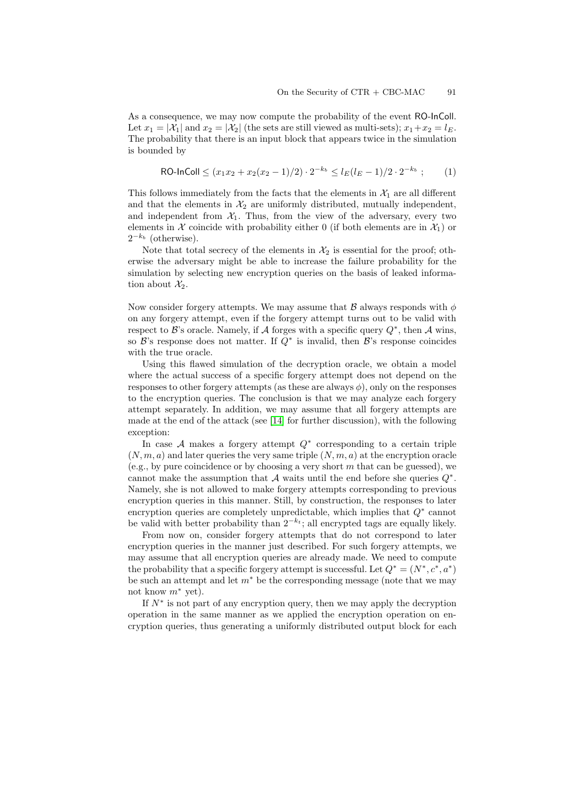<span id="page-15-0"></span>As a consequence, we may now compute the probability of the event RO-InColl. Let  $x_1 = |\mathcal{X}_1|$  and  $x_2 = |\mathcal{X}_2|$  (the sets are still viewed as multi-sets);  $x_1 + x_2 = l_E$ . The probability that there is an input block that appears twice in the simulation is bounded by

$$
\text{RO-InColl} \le (x_1 x_2 + x_2 (x_2 - 1)/2) \cdot 2^{-k_b} \le l_E (l_E - 1)/2 \cdot 2^{-k_b};\tag{1}
$$

This follows immediately from the facts that the elements in  $\mathcal{X}_1$  are all different and that the elements in  $\mathcal{X}_2$  are uniformly distributed, mutually independent, and independent from  $X_1$ . Thus, from the view of the adversary, every two elements in X coincide with probability either 0 (if both elements are in  $\mathcal{X}_1$ ) or  $2^{-k_b}$  (otherwise).

Note that total secrecy of the elements in  $\mathcal{X}_2$  is essential for the proof; otherwise the adversary might be able to increase the failure probability for the simulation by selecting new encryption queries on the basis of leaked information about  $\mathcal{X}_2$ .

Now consider forgery attempts. We may assume that  $\beta$  always responds with  $\phi$ on any forgery attempt, even if the forgery attempt turns out to be valid with respect to B's oracle. Namely, if A forges with a specific query  $Q^*$ , then A wins, so  $\mathcal{B}$ 's response does not matter. If  $Q^*$  is invalid, then  $\mathcal{B}$ 's response coincides with the true oracle.

Using this flawed simulation of the decryption oracle, we obtain a model where the actual success of a specific forgery attempt does not depend on the responses to other forgery attempts (as these are always  $\phi$ ), only on the responses to the encryption queries. The conclusion is that we may analyze each forgery attempt separately. In addition, we may assume that all forgery attempts are made at the end of the attack (see [\[14\]](#page-12-17) for further discussion), with the following exception:

In case  $A$  makes a forgery attempt  $Q^*$  corresponding to a certain triple  $(N, m, a)$  and later queries the very same triple  $(N, m, a)$  at the encryption oracle (e.g., by pure coincidence or by choosing a very short  $m$  that can be guessed), we cannot make the assumption that A waits until the end before she queries  $Q^*$ . Namely, she is not allowed to make forgery attempts corresponding to previous encryption queries in this manner. Still, by construction, the responses to later encryption queries are completely unpredictable, which implies that  $Q^*$  cannot be valid with better probability than  $2^{-k_t}$ ; all encrypted tags are equally likely.

From now on, consider forgery attempts that do not correspond to later encryption queries in the manner just described. For such forgery attempts, we may assume that all encryption queries are already made. We need to compute the probability that a specific forgery attempt is successful. Let  $Q^* = (N^*, c^*, a^*)$ be such an attempt and let  $m^*$  be the corresponding message (note that we may not know  $m^*$  yet).

If  $N^*$  is not part of any encryption query, then we may apply the decryption operation in the same manner as we applied the encryption operation on encryption queries, thus generating a uniformly distributed output block for each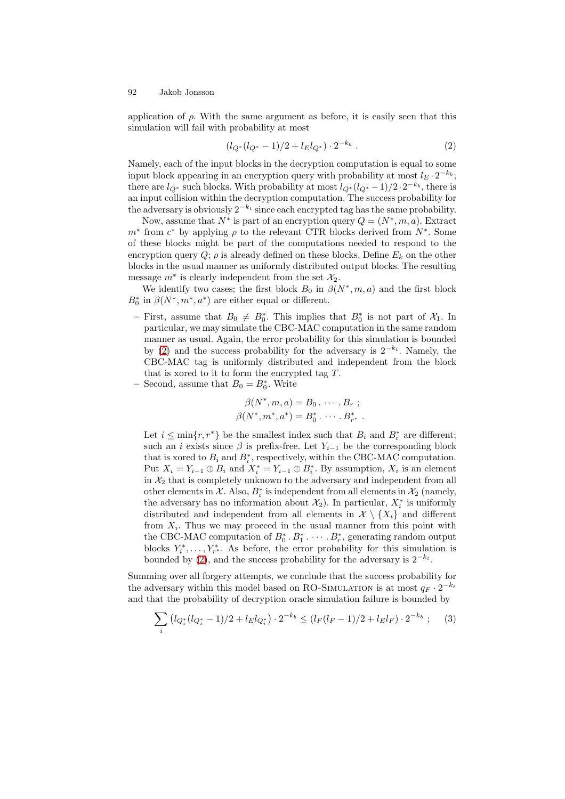<span id="page-16-0"></span>application of  $\rho$ . With the same argument as before, it is easily seen that this simulation will fail with probability at most

<span id="page-16-1"></span>
$$
(l_{Q^*}(l_{Q^*}-1)/2 + l_E l_{Q^*}) \cdot 2^{-k_b} . \tag{2}
$$

Namely, each of the input blocks in the decryption computation is equal to some input block appearing in an encryption query with probability at most  $l_E \cdot 2^{-k_b}$ ; there are  $l_{Q^*}$  such blocks. With probability at most  $l_{Q^*}(l_{Q^*}-1)/2 \cdot 2^{-k_b}$ , there is an input collision within the decryption computation. The success probability for the adversary is obviously  $2^{-k_t}$  since each encrypted tag has the same probability.

Now, assume that  $N^*$  is part of an encryption query  $Q = (N^*, m, a)$ . Extract  $m^*$  from  $c^*$  by applying  $\rho$  to the relevant CTR blocks derived from  $N^*$ . Some of these blocks might be part of the computations needed to respond to the encryption query  $Q$ ;  $\rho$  is already defined on these blocks. Define  $E_k$  on the other blocks in the usual manner as uniformly distributed output blocks. The resulting message  $m^*$  is clearly independent from the set  $\mathcal{X}_2$ .

We identify two cases; the first block  $B_0$  in  $\beta(N^*, m, a)$  and the first block  $B_0^*$  in  $\beta(N^*, m^*, a^*)$  are either equal or different.

- $-$  First, assume that  $B_0 \neq B_0^*$ . This implies that  $B_0^*$  is not part of  $\mathcal{X}_1$ . In particular, we may simulate the CBC-MAC computation in the same random manner as usual. Again, the error probability for this simulation is bounded by [\(2\)](#page-16-1) and the success probability for the adversary is  $2^{-k_t}$ . Namely, the CBC-MAC tag is uniformly distributed and independent from the block that is xored to it to form the encrypted tag  $T$ .
- $-$  Second, assume that  $B_0 = B_0^*$ . Write

$$
\beta(N^*, m, a) = B_0 \cdot \cdots \cdot B_r ;
$$
  

$$
\beta(N^*, m^*, a^*) = B_0^* \cdot \cdots \cdot B_{r^*}^* .
$$

Let  $i \leq \min\{r, r^*\}$  be the smallest index such that  $B_i$  and  $B_i^*$  are different; such an *i* exists since  $\beta$  is prefix-free. Let  $Y_{i-1}$  be the corresponding block that is xored to  $B_i$  and  $B_i^*$ , respectively, within the CBC-MAC computation. Put  $X_i = Y_{i-1} \oplus B_i$  and  $X_i^* = Y_{i-1} \oplus B_i^*$ . By assumption,  $X_i$  is an element in  $\mathcal{X}_2$  that is completely unknown to the adversary and independent from all other elements in  $\mathcal{X}$ . Also,  $B_i^*$  is independent from all elements in  $\mathcal{X}_2$  (namely, the adversary has no information about  $\mathcal{X}_2$ ). In particular,  $X_i^*$  is uniformly distributed and independent from all elements in  $\mathcal{X} \setminus \{X_i\}$  and different from  $X_i$ . Thus we may proceed in the usual manner from this point with the CBC-MAC computation of  $B_0^* \tcdot B_1^* \tcdot \tcdots \tcdot B_r^*$ , generating random output blocks  $Y_i^*, \ldots, Y_{r^*}^*$ . As before, the error probability for this simulation is bounded by [\(2\)](#page-16-1), and the success probability for the adversary is  $2^{-k_t}$ .

Summing over all forgery attempts, we conclude that the success probability for the adversary within this model based on RO-SIMULATION is at most  $q_F \cdot 2^{-k_t}$ and that the probability of decryption oracle simulation failure is bounded by

<span id="page-16-2"></span>
$$
\sum_{i} \left( l_{Q_i^*} (l_{Q_i^*} - 1)/2 + l_E l_{Q_i^*} \right) \cdot 2^{-k_b} \leq (l_F (l_F - 1)/2 + l_E l_F) \cdot 2^{-k_b} \; ; \tag{3}
$$